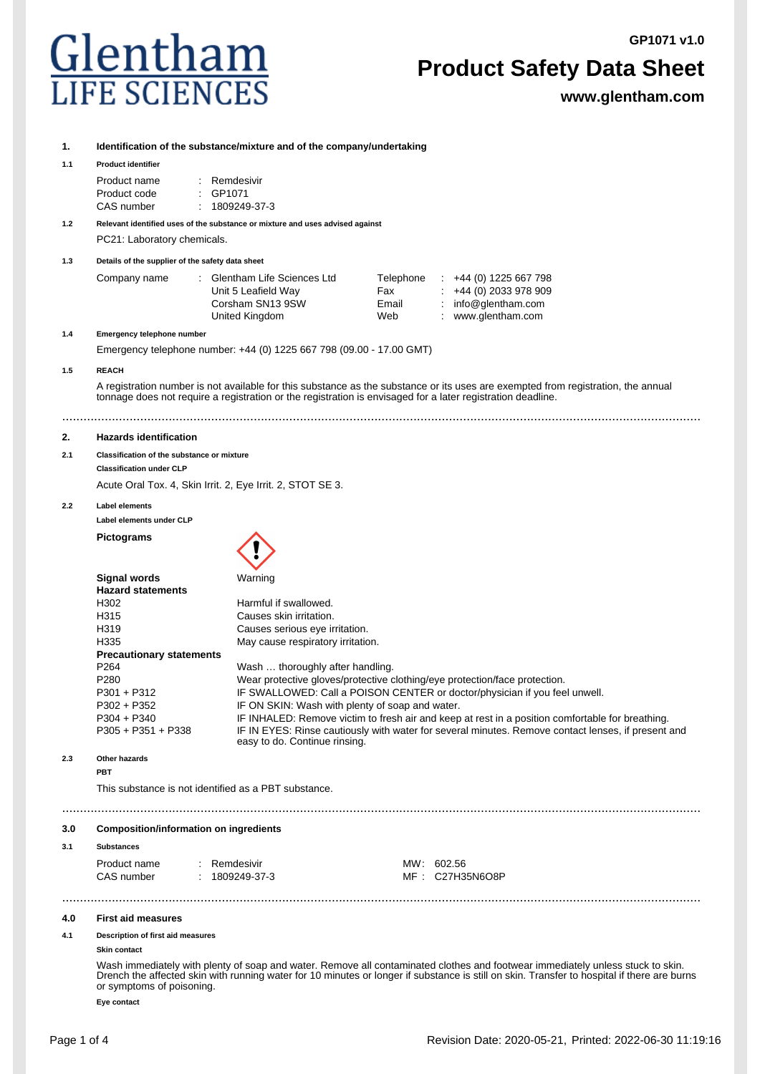**GP1071 v1.0**

# Glentham **LIFE SCIENCI**

# **Product Safety Data Sheet**

**www.glentham.com**

# **1. Identification of the substance/mixture and of the company/undertaking**

# **1.1 Product identifier**

| Product name | : Remdesivir        |
|--------------|---------------------|
| Product code | $\therefore$ GP1071 |
| CAS number   | : 1809249373        |

# **1.2 Relevant identified uses of the substance or mixture and uses advised against**

PC21: Laboratory chemicals.

# **1.3 Details of the supplier of the safety data sheet**

| Company name | Glentham Life Sciences Ltd<br>Unit 5 Leafield Way<br>Corsham SN13 9SW | Telephone<br>Fax<br>Email | $\div$ +44 (0) 1225 667 798<br>$\div$ +44 (0) 2033 978 909<br>: $info@$ glentham.com |
|--------------|-----------------------------------------------------------------------|---------------------------|--------------------------------------------------------------------------------------|
|              | United Kingdom                                                        | Web                       | www.glentham.com                                                                     |

## **1.4 Emergency telephone number**

Emergency telephone number: +44 (0) 1225 667 798 (09.00 - 17.00 GMT)

# **1.5 REACH**

A registration number is not available for this substance as the substance or its uses are exempted from registration, the annual tonnage does not require a registration or the registration is envisaged for a later registration deadline.

# ....................................................................................................................................................................................

# **2. Hazards identification**

**2.1 Classification of the substance or mixture**

**Classification under CLP**

Acute Oral Tox. 4, Skin Irrit. 2, Eye Irrit. 2, STOT SE 3.

# **2.2 Label elements**

**Label elements under CLP**

**Pictograms**



|     | <b>Signal words</b>                                  | Warning                                                                                                                             |
|-----|------------------------------------------------------|-------------------------------------------------------------------------------------------------------------------------------------|
|     | <b>Hazard statements</b>                             |                                                                                                                                     |
|     | H302                                                 | Harmful if swallowed.                                                                                                               |
|     | H315                                                 | Causes skin irritation.                                                                                                             |
|     | H319                                                 | Causes serious eye irritation.                                                                                                      |
|     | H335                                                 | May cause respiratory irritation.                                                                                                   |
|     | <b>Precautionary statements</b>                      |                                                                                                                                     |
|     | P <sub>264</sub>                                     | Wash  thoroughly after handling.                                                                                                    |
|     | P <sub>280</sub>                                     | Wear protective gloves/protective clothing/eye protection/face protection.                                                          |
|     | $P301 + P312$                                        | IF SWALLOWED: Call a POISON CENTER or doctor/physician if you feel unwell.                                                          |
|     | $P302 + P352$                                        | IF ON SKIN: Wash with plenty of soap and water.                                                                                     |
|     | $P304 + P340$                                        | IF INHALED: Remove victim to fresh air and keep at rest in a position comfortable for breathing.                                    |
|     | $P305 + P351 + P338$                                 | IF IN EYES: Rinse cautiously with water for several minutes. Remove contact lenses, if present and<br>easy to do. Continue rinsing. |
| 2.3 | Other hazards                                        |                                                                                                                                     |
|     | PBT                                                  |                                                                                                                                     |
|     | This substance is not identified as a PBT substance. |                                                                                                                                     |
|     |                                                      |                                                                                                                                     |

# **3.0 Composition/information on ingredients**

#### **3.1 Substances**

| Product name | : Remdesivir | MW: 602.56      |
|--------------|--------------|-----------------|
| CAS number   | : 1809249373 | MF: C27H35N6O8P |

#### **4.0 First aid measures**

# **4.1 Description of first aid measures**

#### **Skin contact**

Wash immediately with plenty of soap and water. Remove all contaminated clothes and footwear immediately unless stuck to skin. Drench the affected skin with running water for 10 minutes or longer if substance is still on skin. Transfer to hospital if there are burns or symptoms of poisoning.

....................................................................................................................................................................................

**Eye contact**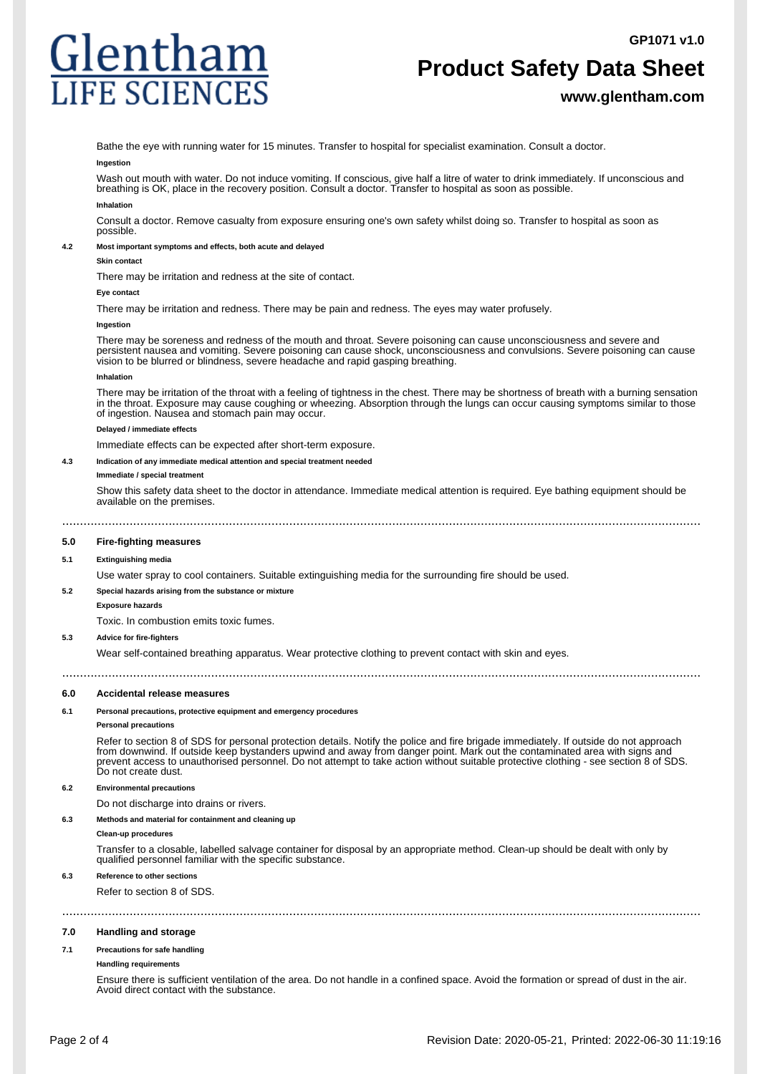# Glentham **IFE SCIENCES**

# **Product Safety Data Sheet**

# **www.glentham.com**

Bathe the eye with running water for 15 minutes. Transfer to hospital for specialist examination. Consult a doctor.

#### **Ingestion**

Wash out mouth with water. Do not induce vomiting. If conscious, give half a litre of water to drink immediately. If unconscious and breathing is OK, place in the recovery position. Consult a doctor. Transfer to hospital as soon as possible. **Inhalation**

Consult a doctor. Remove casualty from exposure ensuring one's own safety whilst doing so. Transfer to hospital as soon as possible.

#### **4.2 Most important symptoms and effects, both acute and delayed**

#### **Skin contact**

There may be irritation and redness at the site of contact.

#### **Eye contad**

There may be irritation and redness. There may be pain and redness. The eyes may water profusely.

#### **Ingestion**

There may be soreness and redness of the mouth and throat. Severe poisoning can cause unconsciousness and severe and persistent nausea and vomiting. Severe poisoning can cause shock, unconsciousness and convulsions. Severe poisoning can cause vision to be blurred or blindness, severe headache and rapid gasping breathing.

#### **Inhalation**

There may be irritation of the throat with a feeling of tightness in the chest. There may be shortness of breath with a burning sensation in the throat. Exposure may cause coughing or wheezing. Absorption through the lungs can occur causing symptoms similar to those of ingestion. Nausea and stomach pain may occur.

#### **Delayed / immediate effects**

Immediate effects can be expected after short-term exposure.

## **4.3 Indication of any immediate medical attention and special treatment needed**

#### **Immediate / special treatment**

Show this safety data sheet to the doctor in attendance. Immediate medical attention is required. Eye bathing equipment should be available on the premises.

....................................................................................................................................................................................

**5.0 Fire-fighting measures**

#### **5.1 Extinguishing media**

Use water spray to cool containers. Suitable extinguishing media for the surrounding fire should be used.

# **5.2 Special hazards arising from the substance or mixture**

## **Exposure hazards**

Toxic. In combustion emits toxic fumes.

## **5.3 Advice for fire-fighters**

Wear self-contained breathing apparatus. Wear protective clothing to prevent contact with skin and eyes.

#### **6.0 Accidental release measures**

#### **6.1 Personal precautions, protective equipment and emergency procedures**

#### **Personal precautions**

Refer to section 8 of SDS for personal protection details. Notify the police and fire brigade immediately. If outside do not approach from downwind. If outside keep bystanders upwind and away from danger point. Mark out the contaminated area with signs and prevent access to unauthorised personnel. Do not attempt to take action without suitable protective clothing - see section 8 of SDS. Do not create dust.

....................................................................................................................................................................................

## **6.2 Environmental precautions**

Do not discharge into drains or rivers.

#### **6.3 Methods and material for containment and cleaning up**

#### **Clean-up procedures**

Transfer to a closable, labelled salvage container for disposal by an appropriate method. Clean-up should be dealt with only by qualified personnel familiar with the specific substance.

# **6.3 Reference to other sections**

Refer to section 8 of SDS.

# ....................................................................................................................................................................................

## **7.0 Handling and storage**

#### **7.1 Precautions for safe handling**

#### **Handling requirements**

Ensure there is sufficient ventilation of the area. Do not handle in a confined space. Avoid the formation or spread of dust in the air. Avoid direct contact with the substance.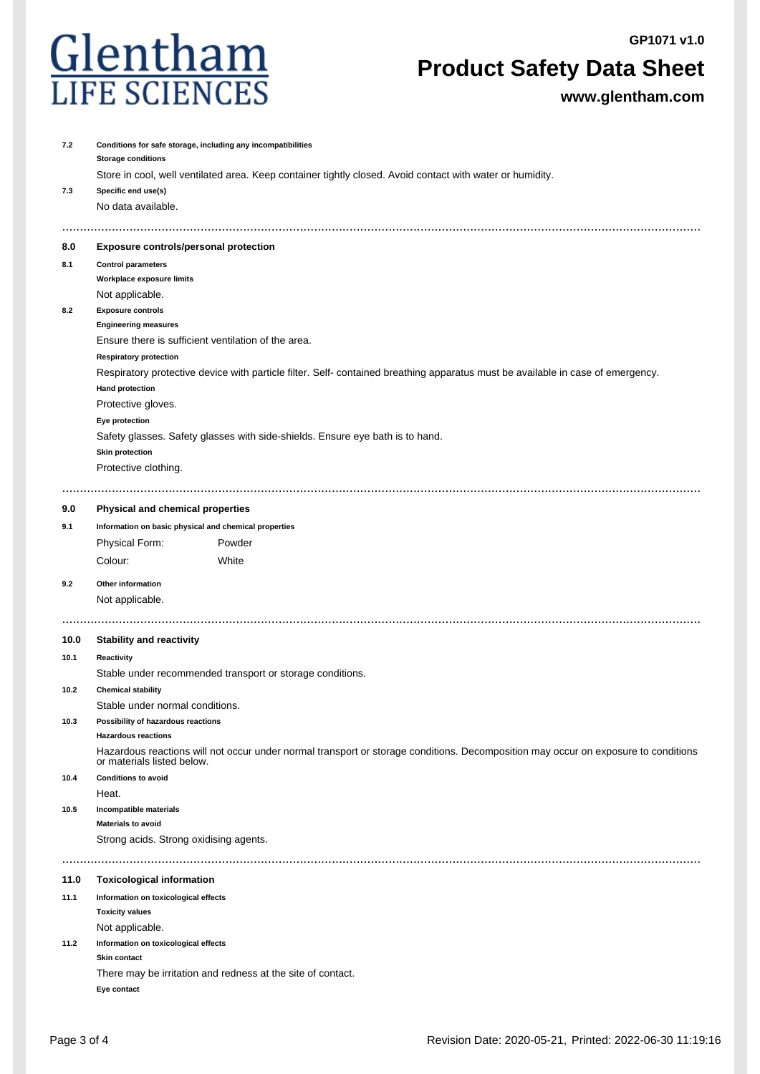**GP1071 v1.0**



# **Product Safety Data Sheet**

**www.glentham.com**

| 7.2                       | Conditions for safe storage, including any incompatibilities<br><b>Storage conditions</b> |                                                                                                                                    |  |  |  |  |
|---------------------------|-------------------------------------------------------------------------------------------|------------------------------------------------------------------------------------------------------------------------------------|--|--|--|--|
|                           |                                                                                           | Store in cool, well ventilated area. Keep container tightly closed. Avoid contact with water or humidity.                          |  |  |  |  |
| 7.3                       | Specific end use(s)                                                                       |                                                                                                                                    |  |  |  |  |
|                           | No data available.                                                                        |                                                                                                                                    |  |  |  |  |
| 8.0                       | <b>Exposure controls/personal protection</b>                                              |                                                                                                                                    |  |  |  |  |
| 8.1                       | <b>Control parameters</b>                                                                 |                                                                                                                                    |  |  |  |  |
| Workplace exposure limits |                                                                                           |                                                                                                                                    |  |  |  |  |
|                           | Not applicable.                                                                           |                                                                                                                                    |  |  |  |  |
| 8.2                       | <b>Exposure controls</b>                                                                  |                                                                                                                                    |  |  |  |  |
|                           | <b>Engineering measures</b>                                                               |                                                                                                                                    |  |  |  |  |
|                           | Ensure there is sufficient ventilation of the area.                                       |                                                                                                                                    |  |  |  |  |
|                           | <b>Respiratory protection</b>                                                             |                                                                                                                                    |  |  |  |  |
|                           | <b>Hand protection</b>                                                                    | Respiratory protective device with particle filter. Self- contained breathing apparatus must be available in case of emergency.    |  |  |  |  |
|                           | Protective gloves.                                                                        |                                                                                                                                    |  |  |  |  |
|                           | Eye protection                                                                            |                                                                                                                                    |  |  |  |  |
|                           |                                                                                           | Safety glasses. Safety glasses with side-shields. Ensure eye bath is to hand.                                                      |  |  |  |  |
|                           | <b>Skin protection</b>                                                                    |                                                                                                                                    |  |  |  |  |
|                           | Protective clothing.                                                                      |                                                                                                                                    |  |  |  |  |
|                           |                                                                                           |                                                                                                                                    |  |  |  |  |
| 9.0                       | Physical and chemical properties                                                          |                                                                                                                                    |  |  |  |  |
| 9.1                       | Information on basic physical and chemical properties                                     |                                                                                                                                    |  |  |  |  |
|                           | Physical Form:                                                                            | Powder                                                                                                                             |  |  |  |  |
|                           | Colour:                                                                                   | White                                                                                                                              |  |  |  |  |
| 9.2                       | Other information                                                                         |                                                                                                                                    |  |  |  |  |
|                           | Not applicable.                                                                           |                                                                                                                                    |  |  |  |  |
|                           |                                                                                           |                                                                                                                                    |  |  |  |  |
| 10.0                      | <b>Stability and reactivity</b>                                                           |                                                                                                                                    |  |  |  |  |
| 10.1                      | Reactivity                                                                                |                                                                                                                                    |  |  |  |  |
|                           |                                                                                           | Stable under recommended transport or storage conditions.                                                                          |  |  |  |  |
| 10.2                      | <b>Chemical stability</b>                                                                 |                                                                                                                                    |  |  |  |  |
|                           | Stable under normal conditions.                                                           |                                                                                                                                    |  |  |  |  |
| 10.3                      | Possibility of hazardous reactions                                                        |                                                                                                                                    |  |  |  |  |
|                           | <b>Hazardous reactions</b>                                                                |                                                                                                                                    |  |  |  |  |
|                           | or materials listed below.                                                                | Hazardous reactions will not occur under normal transport or storage conditions. Decomposition may occur on exposure to conditions |  |  |  |  |
| 10.4                      | <b>Conditions to avoid</b>                                                                |                                                                                                                                    |  |  |  |  |
|                           | Heat.                                                                                     |                                                                                                                                    |  |  |  |  |
| 10.5                      | Incompatible materials                                                                    |                                                                                                                                    |  |  |  |  |
|                           | <b>Materials to avoid</b>                                                                 |                                                                                                                                    |  |  |  |  |
|                           | Strong acids. Strong oxidising agents.                                                    |                                                                                                                                    |  |  |  |  |
|                           |                                                                                           |                                                                                                                                    |  |  |  |  |
| 11.0                      | <b>Toxicological information</b>                                                          |                                                                                                                                    |  |  |  |  |
| 11.1                      | Information on toxicological effects                                                      |                                                                                                                                    |  |  |  |  |
|                           | <b>Toxicity values</b>                                                                    |                                                                                                                                    |  |  |  |  |
|                           | Not applicable.                                                                           |                                                                                                                                    |  |  |  |  |
| 11.2                      | Information on toxicological effects<br>Skin contact                                      |                                                                                                                                    |  |  |  |  |
|                           |                                                                                           | There may be irritation and redness at the site of contact.                                                                        |  |  |  |  |
|                           | Eye contact                                                                               |                                                                                                                                    |  |  |  |  |
|                           |                                                                                           |                                                                                                                                    |  |  |  |  |